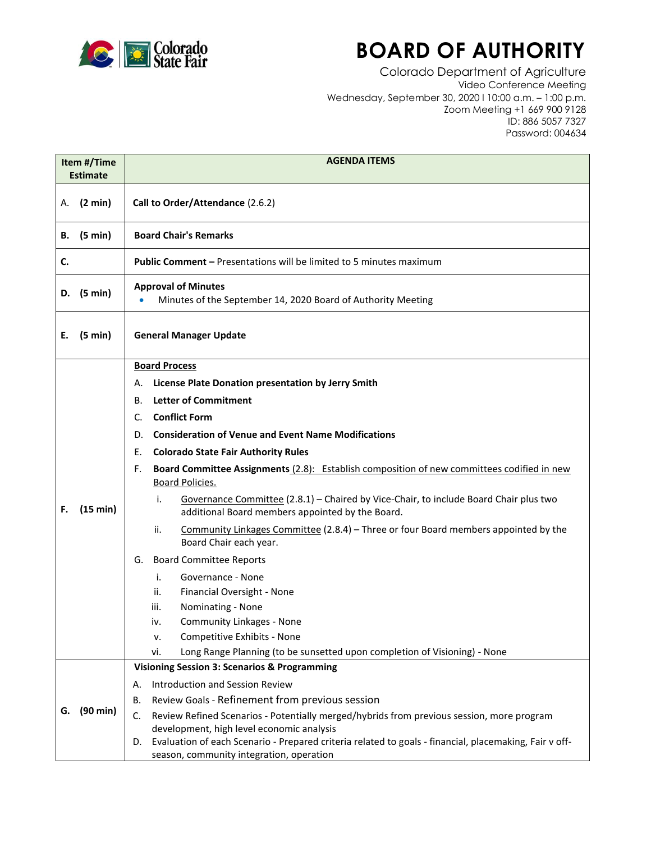

## **BOARD OF AUTHORITY**

Colorado Department of Agriculture Video Conference Meeting Wednesday, September 30, 2020 l 10:00 a.m. – 1:00 p.m. Zoom Meeting +1 669 900 9128 ID: 886 5057 7327 Password: 004634

| Item #/Time<br><b>Estimate</b> |                   | <b>AGENDA ITEMS</b>                                                                                                                                                                                                                                                                                                                                                                                                                                                                                                                                                                                                                                                                                                                                                                                                                                                                                                                                                                    |
|--------------------------------|-------------------|----------------------------------------------------------------------------------------------------------------------------------------------------------------------------------------------------------------------------------------------------------------------------------------------------------------------------------------------------------------------------------------------------------------------------------------------------------------------------------------------------------------------------------------------------------------------------------------------------------------------------------------------------------------------------------------------------------------------------------------------------------------------------------------------------------------------------------------------------------------------------------------------------------------------------------------------------------------------------------------|
| Α.                             | (2 min)           | Call to Order/Attendance (2.6.2)                                                                                                                                                                                                                                                                                                                                                                                                                                                                                                                                                                                                                                                                                                                                                                                                                                                                                                                                                       |
| В.                             | (5 min)           | <b>Board Chair's Remarks</b>                                                                                                                                                                                                                                                                                                                                                                                                                                                                                                                                                                                                                                                                                                                                                                                                                                                                                                                                                           |
| C.                             |                   | <b>Public Comment - Presentations will be limited to 5 minutes maximum</b>                                                                                                                                                                                                                                                                                                                                                                                                                                                                                                                                                                                                                                                                                                                                                                                                                                                                                                             |
| D.                             | (5 min)           | <b>Approval of Minutes</b><br>Minutes of the September 14, 2020 Board of Authority Meeting                                                                                                                                                                                                                                                                                                                                                                                                                                                                                                                                                                                                                                                                                                                                                                                                                                                                                             |
| Е.                             | $(5 \text{ min})$ | <b>General Manager Update</b>                                                                                                                                                                                                                                                                                                                                                                                                                                                                                                                                                                                                                                                                                                                                                                                                                                                                                                                                                          |
| F.                             | (15 min)          | <b>Board Process</b><br>License Plate Donation presentation by Jerry Smith<br>А.<br><b>Letter of Commitment</b><br>В.<br><b>Conflict Form</b><br>C.<br><b>Consideration of Venue and Event Name Modifications</b><br>D.<br><b>Colorado State Fair Authority Rules</b><br>Е.<br>Board Committee Assignments (2.8): Establish composition of new committees codified in new<br>F.<br>Board Policies.<br>i.<br>Governance Committee (2.8.1) - Chaired by Vice-Chair, to include Board Chair plus two<br>additional Board members appointed by the Board.<br>ii.<br>Community Linkages Committee (2.8.4) – Three or four Board members appointed by the<br>Board Chair each year.<br><b>Board Committee Reports</b><br>G.<br>i.<br>Governance - None<br>Financial Oversight - None<br>ii.<br>iii.<br>Nominating - None<br><b>Community Linkages - None</b><br>iv.<br>Competitive Exhibits - None<br>٧.<br>Long Range Planning (to be sunsetted upon completion of Visioning) - None<br>vi. |
| G.                             | (90 min)          | <b>Visioning Session 3: Scenarios &amp; Programming</b><br>Introduction and Session Review<br>А.<br>Review Goals - Refinement from previous session<br>В.<br>C.<br>Review Refined Scenarios - Potentially merged/hybrids from previous session, more program<br>development, high level economic analysis<br>Evaluation of each Scenario - Prepared criteria related to goals - financial, placemaking, Fair v off-<br>D.<br>season, community integration, operation                                                                                                                                                                                                                                                                                                                                                                                                                                                                                                                  |